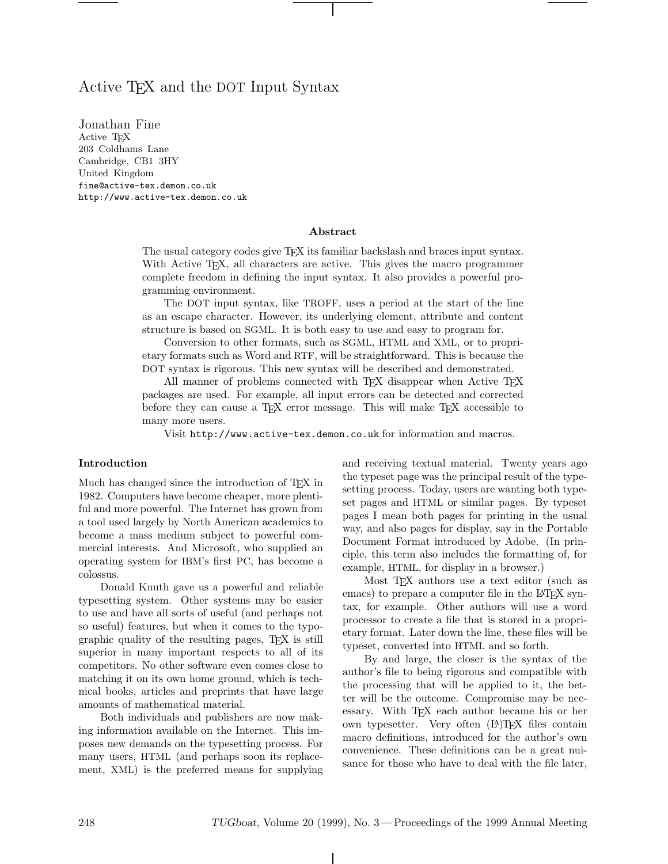# Active TEX and the DOT Input Syntax

Jonathan Fine Active TEX 203 Coldhams Lane Cambridge, CB1 3HY United Kingdom fine@active-tex.demon.co.uk http://www.active-tex.demon.co.uk

### **Abstract**

The usual category codes give TEX its familiar backslash and braces input syntax. With Active T<sub>E</sub>X, all characters are active. This gives the macro programmer complete freedom in defining the input syntax. It also provides a powerful programming environment.

The DOT input syntax, like TROFF, uses a period at the start of the line as an escape character. However, its underlying element, attribute and content structure is based on SGML. It is both easy to use and easy to program for.

Conversion to other formats, such as SGML, HTML and XML, or to proprietary formats such as Word and RTF, will be straightforward. This is because the DOT syntax is rigorous. This new syntax will be described and demonstrated.

All manner of problems connected with TEX disappear when Active TEX packages are used. For example, all input errors can be detected and corrected before they can cause a TEX error message. This will make TEX accessible to many more users.

Visit http://www.active-tex.demon.co.uk for information and macros.

### **Introduction**

Much has changed since the introduction of TEX in 1982. Computers have become cheaper, more plentiful and more powerful. The Internet has grown from a tool used largely by North American academics to become a mass medium subject to powerful commercial interests. And Microsoft, who supplied an operating system for IBM's first PC, has become a colossus.

Donald Knuth gave us a powerful and reliable typesetting system. Other systems may be easier to use and have all sorts of useful (and perhaps not so useful) features, but when it comes to the typographic quality of the resulting pages, TEX is still superior in many important respects to all of its competitors. No other software even comes close to matching it on its own home ground, which is technical books, articles and preprints that have large amounts of mathematical material.

Both individuals and publishers are now making information available on the Internet. This imposes new demands on the typesetting process. For many users, HTML (and perhaps soon its replacement, XML) is the preferred means for supplying and receiving textual material. Twenty years ago the typeset page was the principal result of the typesetting process. Today, users are wanting both typeset pages and HTML or similar pages. By typeset pages I mean both pages for printing in the usual way, and also pages for display, say in the Portable Document Format introduced by Adobe. (In principle, this term also includes the formatting of, for example, HTML, for display in a browser.)

Most T<sub>E</sub>X authors use a text editor (such as emacs) to prepare a computer file in the LAT<sub>EX</sub> syntax, for example. Other authors will use a word processor to create a file that is stored in a proprietary format. Later down the line, these files will be typeset, converted into HTML and so forth.

By and large, the closer is the syntax of the author's file to being rigorous and compatible with the processing that will be applied to it, the better will be the outcome. Compromise may be necessary. With T<sub>E</sub>X each author became his or her own typesetter. Very often (LA)T<sub>EX</sub> files contain macro definitions, introduced for the author's own convenience. These definitions can be a great nuisance for those who have to deal with the file later,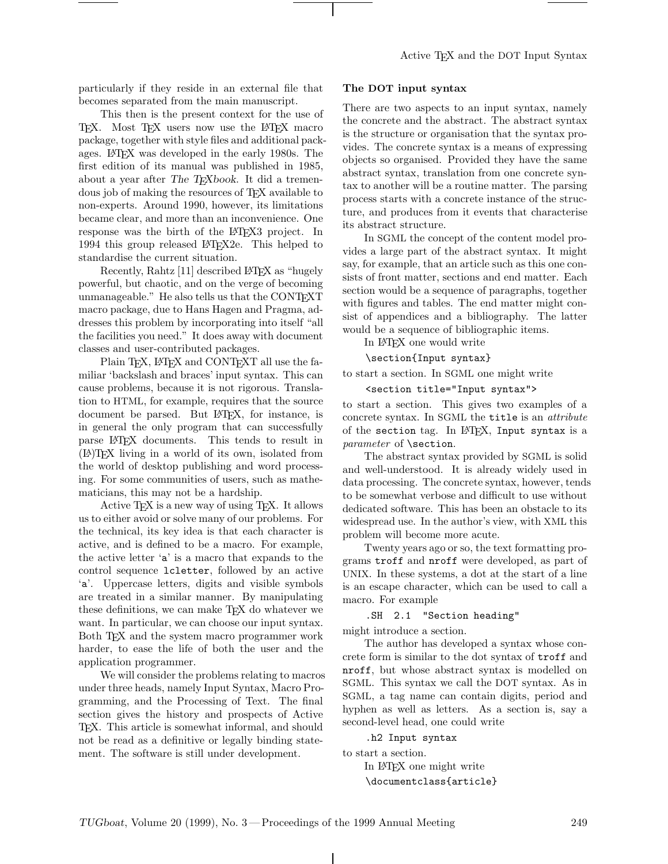particularly if they reside in an external file that becomes separated from the main manuscript.

This then is the present context for the use of TEX. Most TEX users now use the LATEX macro package, together with style files and additional packages. LATEX was developed in the early 1980s. The first edition of its manual was published in 1985, about a year after *The TEXbook*. It did a tremendous job of making the resources of TEX available to non-experts. Around 1990, however, its limitations became clear, and more than an inconvenience. One response was the birth of the LAT<sub>EX3</sub> project. In 1994 this group released LATEX2e. This helped to standardise the current situation.

Recently, Rahtz [11] described LATEX as "hugely powerful, but chaotic, and on the verge of becoming unmanageable." He also tells us that the CONTEXT macro package, due to Hans Hagen and Pragma, addresses this problem by incorporating into itself "all the facilities you need." It does away with document classes and user-contributed packages.

Plain TFX, LATFX and CONTFXT all use the familiar 'backslash and braces' input syntax. This can cause problems, because it is not rigorous. Translation to HTML, for example, requires that the source document be parsed. But LATEX, for instance, is in general the only program that can successfully parse LATEX documents. This tends to result in (LA)TEX living in a world of its own, isolated from the world of desktop publishing and word processing. For some communities of users, such as mathematicians, this may not be a hardship.

Active T<sub>E</sub>X is a new way of using T<sub>E</sub>X. It allows us to either avoid or solve many of our problems. For the technical, its key idea is that each character is active, and is defined to be a macro. For example, the active letter 'a' is a macro that expands to the control sequence lcletter, followed by an active 'a'. Uppercase letters, digits and visible symbols are treated in a similar manner. By manipulating these definitions, we can make TEX do whatever we want. In particular, we can choose our input syntax. Both TEX and the system macro programmer work harder, to ease the life of both the user and the application programmer.

We will consider the problems relating to macros under three heads, namely Input Syntax, Macro Programming, and the Processing of Text. The final section gives the history and prospects of Active TEX. This article is somewhat informal, and should not be read as a definitive or legally binding statement. The software is still under development.

# **The DOT input syntax**

There are two aspects to an input syntax, namely the concrete and the abstract. The abstract syntax is the structure or organisation that the syntax provides. The concrete syntax is a means of expressing objects so organised. Provided they have the same abstract syntax, translation from one concrete syntax to another will be a routine matter. The parsing process starts with a concrete instance of the structure, and produces from it events that characterise its abstract structure.

In SGML the concept of the content model provides a large part of the abstract syntax. It might say, for example, that an article such as this one consists of front matter, sections and end matter. Each section would be a sequence of paragraphs, together with figures and tables. The end matter might consist of appendices and a bibliography. The latter would be a sequence of bibliographic items.

In LATEX one would write

\section{Input syntax}

to start a section. In SGML one might write

# <section title="Input syntax">

to start a section. This gives two examples of a concrete syntax. In SGML the title is an *attribute* of the section tag. In LATEX, Input syntax is a *parameter* of \section.

The abstract syntax provided by SGML is solid and well-understood. It is already widely used in data processing. The concrete syntax, however, tends to be somewhat verbose and difficult to use without dedicated software. This has been an obstacle to its widespread use. In the author's view, with XML this problem will become more acute.

Twenty years ago or so, the text formatting programs troff and nroff were developed, as part of UNIX. In these systems, a dot at the start of a line is an escape character, which can be used to call a macro. For example

### .SH 2.1 "Section heading"

might introduce a section.

The author has developed a syntax whose concrete form is similar to the dot syntax of troff and nroff, but whose abstract syntax is modelled on SGML. This syntax we call the DOT syntax. As in SGML, a tag name can contain digits, period and hyphen as well as letters. As a section is, say a second-level head, one could write

.h2 Input syntax

to start a section.

In LATEX one might write \documentclass{article}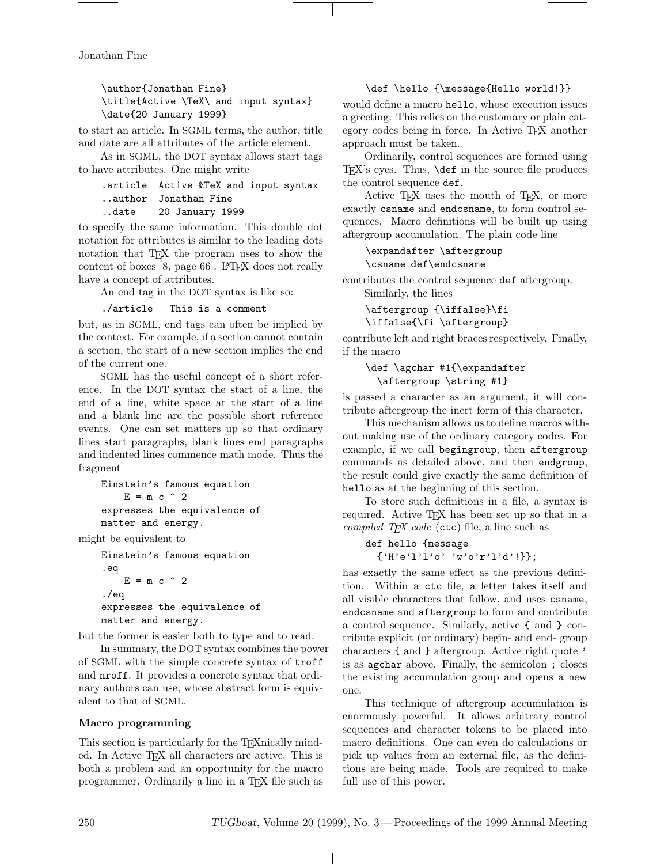Jonathan Fine

\author{Jonathan Fine} \title{Active \TeX\ and input syntax} \date{20 January 1999}

to start an article. In SGML terms, the author, title and date are all attributes of the article element.

As in SGML, the DOT syntax allows start tags to have attributes. One might write

# .article Active &TeX and input syntax ..author Jonathan Fine ..date 20 January 1999

to specify the same information. This double dot notation for attributes is similar to the leading dots notation that T<sub>EX</sub> the program uses to show the content of boxes [8, page 66]. LATEX does not really have a concept of attributes.

An end tag in the DOT syntax is like so:

./article This is a comment

but, as in SGML, end tags can often be implied by the context. For example, if a section cannot contain a section, the start of a new section implies the end of the current one.

SGML has the useful concept of a short reference. In the DOT syntax the start of a line, the end of a line, white space at the start of a line and a blank line are the possible short reference events. One can set matters up so that ordinary lines start paragraphs, blank lines end paragraphs and indented lines commence math mode. Thus the fragment

```
Einstein's famous equation
   E = m c^2expresses the equivalence of
matter and energy.
```
might be equivalent to

```
Einstein's famous equation
.eq
   E = m c^2./eq
expresses the equivalence of
matter and energy.
```
but the former is easier both to type and to read.

In summary, the DOT syntax combines the power of SGML with the simple concrete syntax of troff and nroff. It provides a concrete syntax that ordinary authors can use, whose abstract form is equivalent to that of SGML.

# **Macro programming**

This section is particularly for the TEXnically minded. In Active TEX all characters are active. This is both a problem and an opportunity for the macro programmer. Ordinarily a line in a TEX file such as

# \def \hello {\message{Hello world!}}

would define a macro hello, whose execution issues a greeting. This relies on the customary or plain category codes being in force. In Active TEX another approach must be taken.

Ordinarily, control sequences are formed using TEX's eyes. Thus, \def in the source file produces the control sequence def.

Active TEX uses the mouth of TEX, or more exactly csname and endcsname, to form control sequences. Macro definitions will be built up using aftergroup accumulation. The plain code line

\expandafter \aftergroup \csname def\endcsname

contributes the control sequence def aftergroup.

Similarly, the lines

\aftergroup {\iffalse}\fi \iffalse{\fi \aftergroup}

contribute left and right braces respectively. Finally, if the macro

# \def \agchar #1{\expandafter \aftergroup \string #1}

is passed a character as an argument, it will contribute aftergroup the inert form of this character.

This mechanism allows us to define macros without making use of the ordinary category codes. For example, if we call begingroup, then aftergroup commands as detailed above, and then endgroup, the result could give exactly the same definition of hello as at the beginning of this section.

To store such definitions in a file, a syntax is required. Active TEX has been set up so that in a *compiled TEX code* (ctc) file, a line such as

```
def hello {message
  {'H'e'l'l'o' 'w'o'r'l'd'!}};
```
has exactly the same effect as the previous definition. Within a ctc file, a letter takes itself and all visible characters that follow, and uses csname, endcsname and aftergroup to form and contribute a control sequence. Similarly, active { and } contribute explicit (or ordinary) begin- and end- group characters { and } aftergroup. Active right quote ' is as agchar above. Finally, the semicolon ; closes the existing accumulation group and opens a new one.

This technique of aftergroup accumulation is enormously powerful. It allows arbitrary control sequences and character tokens to be placed into macro definitions. One can even do calculations or pick up values from an external file, as the definitions are being made. Tools are required to make full use of this power.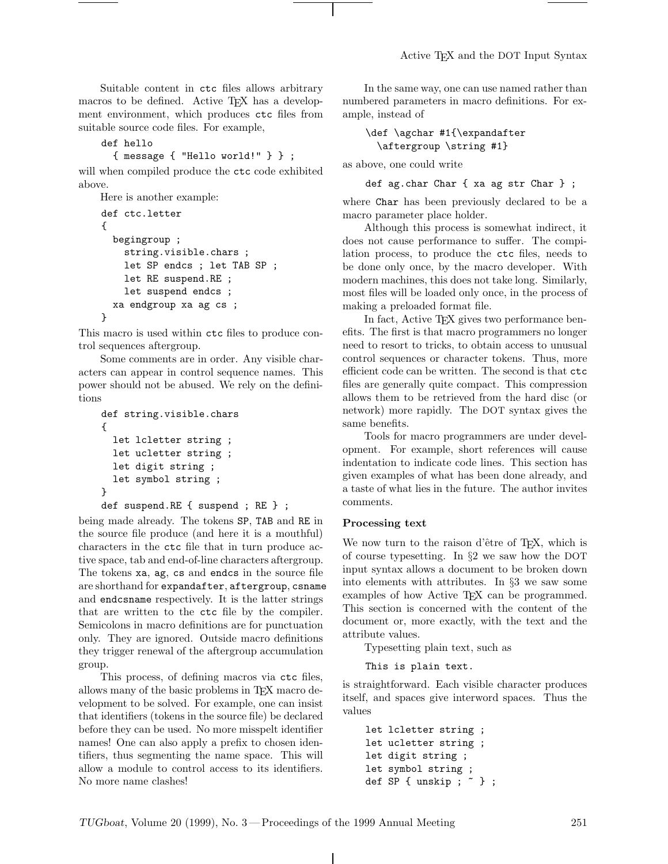Suitable content in ctc files allows arbitrary macros to be defined. Active T<sub>E</sub>X has a development environment, which produces ctc files from suitable source code files. For example,

```
def hello
```
{ message { "Hello world!" } } ;

will when compiled produce the ctc code exhibited above.

```
Here is another example:
def ctc.letter
{
  begingroup ;
    string.visible.chars ;
    let SP endcs ; let TAB SP ;
    let RE suspend.RE ;
    let suspend endcs ;
  xa endgroup xa ag cs ;
}
```
This macro is used within ctc files to produce control sequences aftergroup.

Some comments are in order. Any visible characters can appear in control sequence names. This power should not be abused. We rely on the definitions

```
def string.visible.chars
{
  let lcletter string ;
  let ucletter string ;
  let digit string ;
  let symbol string ;
}
def suspend.RE { suspend ; RE } ;
```
being made already. The tokens SP, TAB and RE in the source file produce (and here it is a mouthful) characters in the ctc file that in turn produce active space, tab and end-of-line characters aftergroup. The tokens xa, ag, cs and endcs in the source file are shorthand for expandafter, aftergroup, csname and endcsname respectively. It is the latter strings that are written to the ctc file by the compiler. Semicolons in macro definitions are for punctuation only. They are ignored. Outside macro definitions they trigger renewal of the aftergroup accumulation group.

This process, of defining macros via ctc files, allows many of the basic problems in T<sub>E</sub>X macro development to be solved. For example, one can insist that identifiers (tokens in the source file) be declared before they can be used. No more misspelt identifier names! One can also apply a prefix to chosen identifiers, thus segmenting the name space. This will allow a module to control access to its identifiers. No more name clashes!

In the same way, one can use named rather than numbered parameters in macro definitions. For example, instead of

# \def \agchar #1{\expandafter \aftergroup \string #1}

as above, one could write

```
def ag.char Char { xa ag str Char } ;
```
where Char has been previously declared to be a macro parameter place holder.

Although this process is somewhat indirect, it does not cause performance to suffer. The compilation process, to produce the ctc files, needs to be done only once, by the macro developer. With modern machines, this does not take long. Similarly, most files will be loaded only once, in the process of making a preloaded format file.

In fact, Active T<sub>F</sub>X gives two performance benefits. The first is that macro programmers no longer need to resort to tricks, to obtain access to unusual control sequences or character tokens. Thus, more efficient code can be written. The second is that ctc files are generally quite compact. This compression allows them to be retrieved from the hard disc (or network) more rapidly. The DOT syntax gives the same benefits.

Tools for macro programmers are under development. For example, short references will cause indentation to indicate code lines. This section has given examples of what has been done already, and a taste of what lies in the future. The author invites comments.

### **Processing text**

We now turn to the raison d'être of T<sub>E</sub>X, which is of course typesetting. In §2 we saw how the DOT input syntax allows a document to be broken down into elements with attributes. In §3 we saw some examples of how Active TEX can be programmed. This section is concerned with the content of the document or, more exactly, with the text and the attribute values.

Typesetting plain text, such as

This is plain text.

is straightforward. Each visible character produces itself, and spaces give interword spaces. Thus the values

```
let lcletter string ;
let ucletter string ;
let digit string ;
let symbol string ;
def SP { unskip ; ~ } ;
```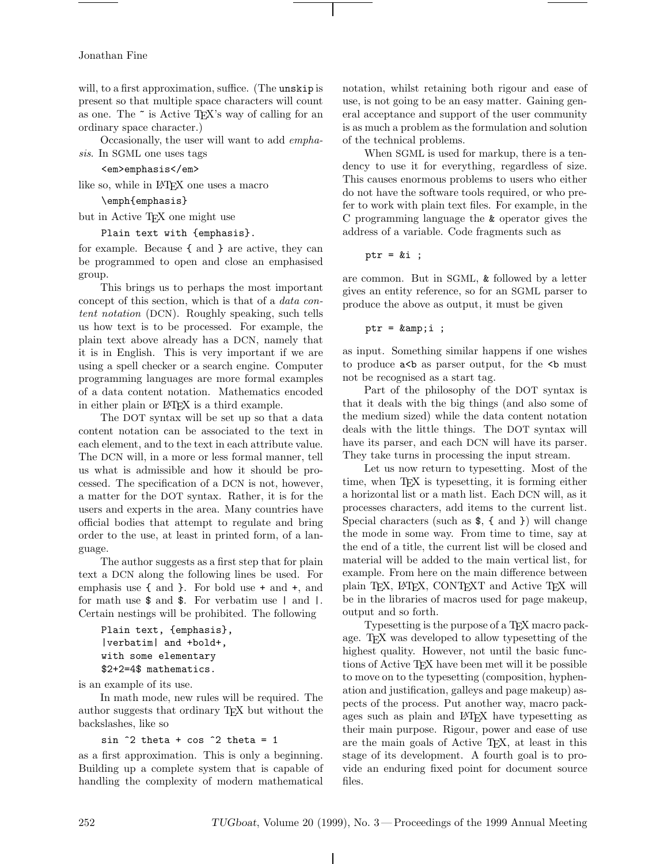### Jonathan Fine

will, to a first approximation, suffice. (The unskip is present so that multiple space characters will count as one. The ~ is Active TEX's way of calling for an ordinary space character.)

Occasionally, the user will want to add *emphasis*. In SGML one uses tags

<em>emphasis</em>

like so, while in LATEX one uses a macro

\emph{emphasis}

but in Active T<sub>F</sub>X one might use

Plain text with {emphasis}.

for example. Because { and } are active, they can be programmed to open and close an emphasised group.

This brings us to perhaps the most important concept of this section, which is that of a *data content notation* (DCN). Roughly speaking, such tells us how text is to be processed. For example, the plain text above already has a DCN, namely that it is in English. This is very important if we are using a spell checker or a search engine. Computer programming languages are more formal examples of a data content notation. Mathematics encoded in either plain or LAT<sub>EX</sub> is a third example.

The DOT syntax will be set up so that a data content notation can be associated to the text in each element, and to the text in each attribute value. The DCN will, in a more or less formal manner, tell us what is admissible and how it should be processed. The specification of a DCN is not, however, a matter for the DOT syntax. Rather, it is for the users and experts in the area. Many countries have official bodies that attempt to regulate and bring order to the use, at least in printed form, of a language.

The author suggests as a first step that for plain text a DCN along the following lines be used. For emphasis use { and }. For bold use + and +, and for math use \$ and \$. For verbatim use | and |. Certain nestings will be prohibited. The following

```
Plain text, {emphasis},
|verbatim| and +bold+,
with some elementary
$2+2=4$ mathematics.
```
is an example of its use.

In math mode, new rules will be required. The author suggests that ordinary TEX but without the backslashes, like so

#### sin  $\hat{ }$ 2 theta + cos  $\hat{ }$ 2 theta = 1

as a first approximation. This is only a beginning. Building up a complete system that is capable of handling the complexity of modern mathematical

notation, whilst retaining both rigour and ease of use, is not going to be an easy matter. Gaining general acceptance and support of the user community is as much a problem as the formulation and solution of the technical problems.

When SGML is used for markup, there is a tendency to use it for everything, regardless of size. This causes enormous problems to users who either do not have the software tools required, or who prefer to work with plain text files. For example, in the C programming language the & operator gives the address of a variable. Code fragments such as

ptr =  $&i$ ;

are common. But in SGML, & followed by a letter gives an entity reference, so for an SGML parser to produce the above as output, it must be given

```
ptr = kamp; i;
```
as input. Something similar happens if one wishes to produce  $a < b$  as parser output, for the  **must** not be recognised as a start tag.

Part of the philosophy of the DOT syntax is that it deals with the big things (and also some of the medium sized) while the data content notation deals with the little things. The DOT syntax will have its parser, and each DCN will have its parser. They take turns in processing the input stream.

Let us now return to typesetting. Most of the time, when TEX is typesetting, it is forming either a horizontal list or a math list. Each DCN will, as it processes characters, add items to the current list. Special characters (such as \$, { and }) will change the mode in some way. From time to time, say at the end of a title, the current list will be closed and material will be added to the main vertical list, for example. From here on the main difference between plain TEX, LATEX, CONTEXT and Active TEX will be in the libraries of macros used for page makeup, output and so forth.

Typesetting is the purpose of a TEX macro package. TEX was developed to allow typesetting of the highest quality. However, not until the basic functions of Active TEX have been met will it be possible to move on to the typesetting (composition, hyphenation and justification, galleys and page makeup) aspects of the process. Put another way, macro packages such as plain and LATEX have typesetting as their main purpose. Rigour, power and ease of use are the main goals of Active TEX, at least in this stage of its development. A fourth goal is to provide an enduring fixed point for document source files.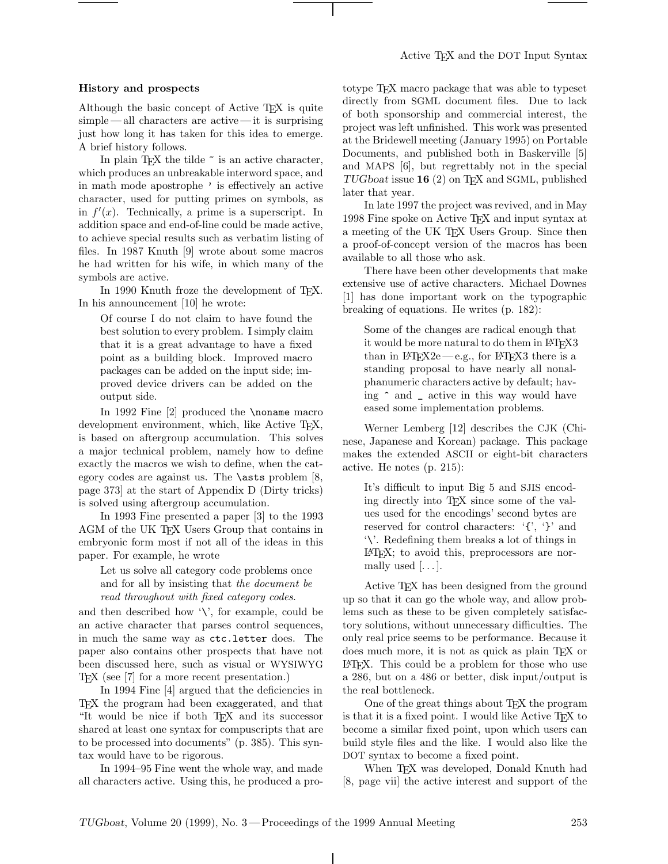# **History and prospects**

Although the basic concept of Active TEX is quite simple — all characters are active— it is surprising just how long it has taken for this idea to emerge. A brief history follows.

In plain TEX the tilde  $\tilde{\phantom{a}}$  is an active character, which produces an unbreakable interword space, and in math mode apostrophe ' is effectively an active character, used for putting primes on symbols, as in  $f'(x)$ . Technically, a prime is a superscript. In addition space and end-of-line could be made active, to achieve special results such as verbatim listing of files. In 1987 Knuth [9] wrote about some macros he had written for his wife, in which many of the symbols are active.

In 1990 Knuth froze the development of T<sub>F</sub>X. In his announcement [10] he wrote:

Of course I do not claim to have found the best solution to every problem. I simply claim that it is a great advantage to have a fixed point as a building block. Improved macro packages can be added on the input side; improved device drivers can be added on the output side.

In 1992 Fine [2] produced the **\noname** macro development environment, which, like Active TEX, is based on aftergroup accumulation. This solves a major technical problem, namely how to define exactly the macros we wish to define, when the category codes are against us. The \asts problem [8, page 373] at the start of Appendix D (Dirty tricks) is solved using aftergroup accumulation.

In 1993 Fine presented a paper [3] to the 1993 AGM of the UK TFX Users Group that contains in embryonic form most if not all of the ideas in this paper. For example, he wrote

Let us solve all category code problems once and for all by insisting that *the document be read throughout with fixed category codes*.

and then described how  $\Diamond$ , for example, could be an active character that parses control sequences, in much the same way as ctc.letter does. The paper also contains other prospects that have not been discussed here, such as visual or WYSIWYG TEX (see [7] for a more recent presentation.)

In 1994 Fine [4] argued that the deficiencies in TEX the program had been exaggerated, and that "It would be nice if both TEX and its successor shared at least one syntax for compuscripts that are to be processed into documents" (p. 385). This syntax would have to be rigorous.

In 1994–95 Fine went the whole way, and made all characters active. Using this, he produced a prototype TEX macro package that was able to typeset directly from SGML document files. Due to lack of both sponsorship and commercial interest, the project was left unfinished. This work was presented at the Bridewell meeting (January 1995) on Portable Documents, and published both in Baskerville [5] and MAPS [6], but regrettably not in the special *TUGboat* issue **16** (2) on TEX and SGML, published later that year.

In late 1997 the project was revived, and in May 1998 Fine spoke on Active TEX and input syntax at a meeting of the UK TFX Users Group. Since then a proof-of-concept version of the macros has been available to all those who ask.

There have been other developments that make extensive use of active characters. Michael Downes [1] has done important work on the typographic breaking of equations. He writes (p. 182):

Some of the changes are radical enough that it would be more natural to do them in LAT<sub>EX3</sub> than in  $\text{LFTFX2e} \rightarrow e.g.,$  for  $\text{LFTFX3}$  there is a standing proposal to have nearly all nonalphanumeric characters active by default; having ^ and \_ active in this way would have eased some implementation problems.

Werner Lemberg [12] describes the CJK (Chinese, Japanese and Korean) package. This package makes the extended ASCII or eight-bit characters active. He notes (p. 215):

It's difficult to input Big 5 and SJIS encoding directly into TEX since some of the values used for the encodings' second bytes are reserved for control characters: '{', '}' and '\'. Redefining them breaks a lot of things in LATEX; to avoid this, preprocessors are normally used  $[\dots]$ .

Active TEX has been designed from the ground up so that it can go the whole way, and allow problems such as these to be given completely satisfactory solutions, without unnecessary difficulties. The only real price seems to be performance. Because it does much more, it is not as quick as plain TEX or LATEX. This could be a problem for those who use a 286, but on a 486 or better, disk input/output is the real bottleneck.

One of the great things about T<sub>EX</sub> the program is that it is a fixed point. I would like Active TEX to become a similar fixed point, upon which users can build style files and the like. I would also like the DOT syntax to become a fixed point.

When T<sub>F</sub>X was developed, Donald Knuth had [8, page vii] the active interest and support of the